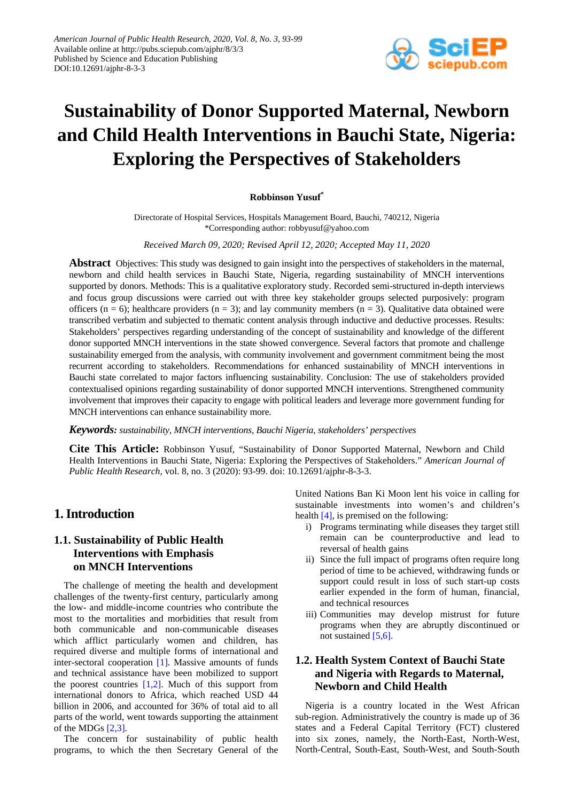

# **Sustainability of Donor Supported Maternal, Newborn and Child Health Interventions in Bauchi State, Nigeria: Exploring the Perspectives of Stakeholders**

### **Robbinson Yusuf\***

Directorate of Hospital Services, Hospitals Management Board, Bauchi, 740212, Nigeria \*Corresponding author: robbyusuf@yahoo.com

*Received March 09, 2020; Revised April 12, 2020; Accepted May 11, 2020*

**Abstract** Objectives: This study was designed to gain insight into the perspectives of stakeholders in the maternal, newborn and child health services in Bauchi State, Nigeria, regarding sustainability of MNCH interventions supported by donors. Methods: This is a qualitative exploratory study. Recorded semi-structured in-depth interviews and focus group discussions were carried out with three key stakeholder groups selected purposively: program officers ( $n = 6$ ); healthcare providers ( $n = 3$ ); and lay community members ( $n = 3$ ). Qualitative data obtained were transcribed verbatim and subjected to thematic content analysis through inductive and deductive processes. Results: Stakeholders' perspectives regarding understanding of the concept of sustainability and knowledge of the different donor supported MNCH interventions in the state showed convergence. Several factors that promote and challenge sustainability emerged from the analysis, with community involvement and government commitment being the most recurrent according to stakeholders. Recommendations for enhanced sustainability of MNCH interventions in Bauchi state correlated to major factors influencing sustainability. Conclusion: The use of stakeholders provided contextualised opinions regarding sustainability of donor supported MNCH interventions. Strengthened community involvement that improves their capacity to engage with political leaders and leverage more government funding for MNCH interventions can enhance sustainability more.

### *Keywords: sustainability, MNCH interventions, Bauchi Nigeria, stakeholders' perspectives*

**Cite This Article:** Robbinson Yusuf, "Sustainability of Donor Supported Maternal, Newborn and Child Health Interventions in Bauchi State, Nigeria: Exploring the Perspectives of Stakeholders." *American Journal of Public Health Research*, vol. 8, no. 3 (2020): 93-99. doi: 10.12691/ajphr-8-3-3.

# **1. Introduction**

# **1.1. Sustainability of Public Health Interventions with Emphasis on MNCH Interventions**

The challenge of meeting the health and development challenges of the twenty-first century, particularly among the low- and middle-income countries who contribute the most to the mortalities and morbidities that result from both communicable and non-communicable diseases which afflict particularly women and children, has required diverse and multiple forms of international and inter-sectoral cooperation [\[1\].](#page-6-0) Massive amounts of funds and technical assistance have been mobilized to support the poorest countries  $[1,2]$ . Much of this support from international donors to Africa, which reached USD 44 billion in 2006, and accounted for 36% of total aid to all parts of the world, went towards supporting the attainment of the MDGs [\[2,3\].](#page-6-1)

The concern for sustainability of public health programs, to which the then Secretary General of the

United Nations Ban Ki Moon lent his voice in calling for sustainable investments into women's and children's health [\[4\],](#page-6-2) is premised on the following:

- i) Programs terminating while diseases they target still remain can be counterproductive and lead to reversal of health gains
- ii) Since the full impact of programs often require long period of time to be achieved, withdrawing funds or support could result in loss of such start-up costs earlier expended in the form of human, financial, and technical resources
- iii) Communities may develop mistrust for future programs when they are abruptly discontinued or not sustained [\[5,6\].](#page-6-3)

# **1.2. Health System Context of Bauchi State and Nigeria with Regards to Maternal, Newborn and Child Health**

Nigeria is a country located in the West African sub-region. Administratively the country is made up of 36 states and a Federal Capital Territory (FCT) clustered into six zones, namely, the North-East, North-West, North-Central, South-East, South-West, and South-South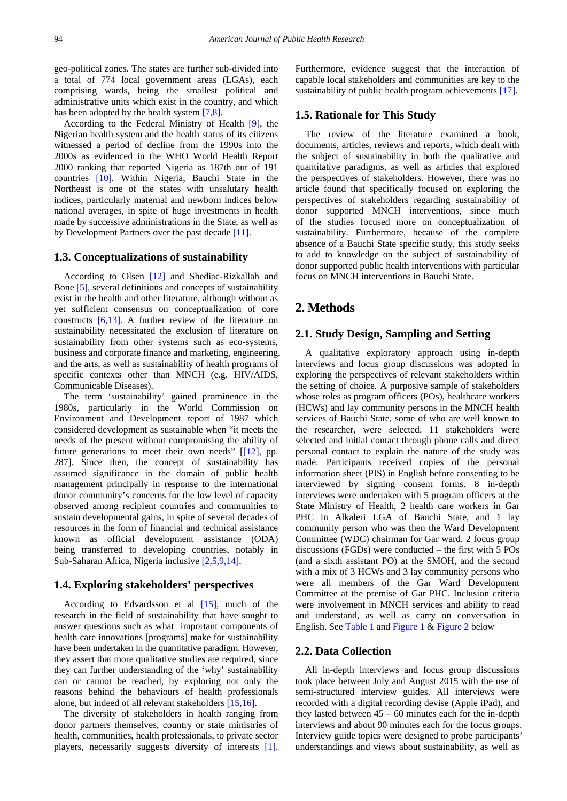geo-political zones. The states are further sub-divided into a total of 774 local government areas (LGAs), each comprising wards, being the smallest political and administrative units which exist in the country, and which has been adopted by the health system [\[7,8\].](#page-6-4)

According to the Federal Ministry of Health [\[9\],](#page-6-5) the Nigerian health system and the health status of its citizens witnessed a period of decline from the 1990s into the 2000s as evidenced in the WHO World Health Report 2000 ranking that reported Nigeria as 187th out of 191 countries [\[10\].](#page-6-6) Within Nigeria, Bauchi State in the Northeast is one of the states with unsalutary health indices, particularly maternal and newborn indices below national averages, in spite of huge investments in health made by successive administrations in the State, as well as by Development Partners over the past decade [\[11\].](#page-6-7)

### **1.3. Conceptualizations of sustainability**

According to Olsen [\[12\]](#page-6-8) and Shediac-Rizkallah and Bone [\[5\],](#page-6-3) several definitions and concepts of sustainability exist in the health and other literature, although without as yet sufficient consensus on conceptualization of core constructs [\[6,13\].](#page-6-9) A further review of the literature on sustainability necessitated the exclusion of literature on sustainability from other systems such as eco-systems, business and corporate finance and marketing, engineering, and the arts, as well as sustainability of health programs of specific contexts other than MNCH (e.g. HIV/AIDS, Communicable Diseases).

The term 'sustainability' gained prominence in the 1980s, particularly in the World Commission on Environment and Development report of 1987 which considered development as sustainable when "it meets the needs of the present without compromising the ability of future generations to meet their own needs" [\[\[12\],](#page-6-8) pp. 287]. Since then, the concept of sustainability has assumed significance in the domain of public health management principally in response to the international donor community's concerns for the low level of capacity observed among recipient countries and communities to sustain developmental gains, in spite of several decades of resources in the form of financial and technical assistance known as official development assistance (ODA) being transferred to developing countries, notably in Sub-Saharan Africa, Nigeria inclusive [\[2,5,9,14\].](#page-6-1)

### **1.4. Exploring stakeholders' perspectives**

According to Edvardsson et al  $[15]$ , much of the research in the field of sustainability that have sought to answer questions such as what important components of health care innovations [programs] make for sustainability have been undertaken in the quantitative paradigm. However, they assert that more qualitative studies are required, since they can further understanding of the 'why' sustainability can or cannot be reached, by exploring not only the reasons behind the behaviours of health professionals alone, but indeed of all relevant stakeholders [\[15,16\].](#page-6-10)

The diversity of stakeholders in health ranging from donor partners themselves, country or state ministries of health, communities, health professionals, to private sector players, necessarily suggests diversity of interests [\[1\].](#page-6-0)

Furthermore, evidence suggest that the interaction of capable local stakeholders and communities are key to the sustainability of public health program achievement[s \[17\].](#page-6-11)

### **1.5. Rationale for This Study**

The review of the literature examined a book, documents, articles, reviews and reports, which dealt with the subject of sustainability in both the qualitative and quantitative paradigms, as well as articles that explored the perspectives of stakeholders. However, there was no article found that specifically focused on exploring the perspectives of stakeholders regarding sustainability of donor supported MNCH interventions, since much of the studies focused more on conceptualization of sustainability. Furthermore, because of the complete absence of a Bauchi State specific study, this study seeks to add to knowledge on the subject of sustainability of donor supported public health interventions with particular focus on MNCH interventions in Bauchi State.

# **2. Methods**

### **2.1. Study Design, Sampling and Setting**

A qualitative exploratory approach using in-depth interviews and focus group discussions was adopted in exploring the perspectives of relevant stakeholders within the setting of choice. A purposive sample of stakeholders whose roles as program officers (POs), healthcare workers (HCWs) and lay community persons in the MNCH health services of Bauchi State, some of who are well known to the researcher, were selected. 11 stakeholders were selected and initial contact through phone calls and direct personal contact to explain the nature of the study was made. Participants received copies of the personal information sheet (PIS) in English before consenting to be interviewed by signing consent forms. 8 in-depth interviews were undertaken with 5 program officers at the State Ministry of Health, 2 health care workers in Gar PHC in Alkaleri LGA of Bauchi State, and 1 lay community person who was then the Ward Development Committee (WDC) chairman for Gar ward. 2 focus group discussions (FGDs) were conducted – the first with 5 POs (and a sixth assistant PO) at the SMOH, and the second with a mix of 3 HCWs and 3 lay community persons who were all members of the Gar Ward Development Committee at the premise of Gar PHC. Inclusion criteria were involvement in MNCH services and ability to read and understand, as well as carry on conversation in English. Se[e Table 1](#page-2-0) and [Figure 1](#page-2-1) & [Figure 2](#page-2-2) below

### **2.2. Data Collection**

All in-depth interviews and focus group discussions took place between July and August 2015 with the use of semi-structured interview guides. All interviews were recorded with a digital recording devise (Apple iPad), and they lasted between  $45 - 60$  minutes each for the in-depth interviews and about 90 minutes each for the focus groups. Interview guide topics were designed to probe participants' understandings and views about sustainability, as well as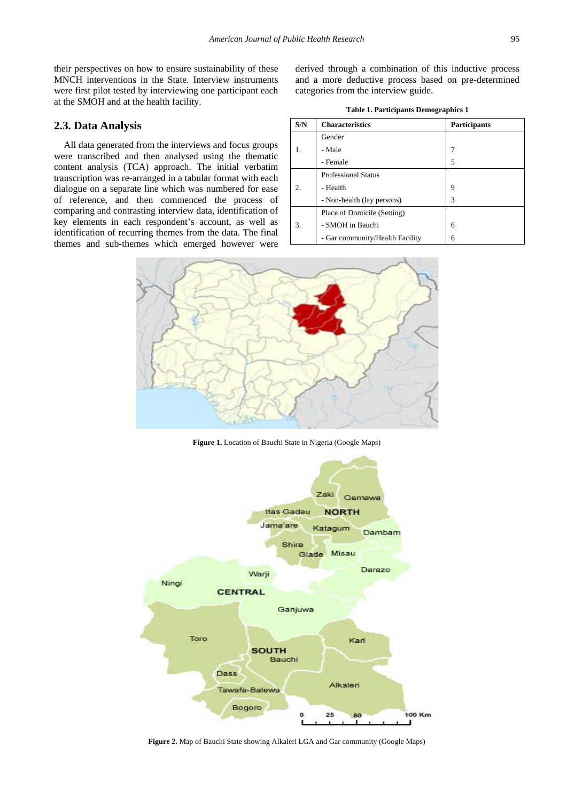their perspectives on how to ensure sustainability of these MNCH interventions in the State. Interview instruments were first pilot tested by interviewing one participant each at the SMOH and at the health facility.

## **2.3. Data Analysis**

All data generated from the interviews and focus groups were transcribed and then analysed using the thematic content analysis (TCA) approach. The initial verbatim transcription was re-arranged in a tabular format with each dialogue on a separate line which was numbered for ease of reference, and then commenced the process of comparing and contrasting interview data, identification of key elements in each respondent's account, as well as identification of recurring themes from the data. The final themes and sub-themes which emerged however were derived through a combination of this inductive process and a more deductive process based on pre-determined categories from the interview guide.

| <b>Table 1. Participants Demographics 1</b> |  |  |
|---------------------------------------------|--|--|
|---------------------------------------------|--|--|

<span id="page-2-0"></span>

| S/N     | <b>Characteristics</b>          | <b>Participants</b> |
|---------|---------------------------------|---------------------|
| 1.      | Gender                          |                     |
|         | - Male                          | 7                   |
|         | - Female                        | 5                   |
| $2^{1}$ | <b>Professional Status</b>      |                     |
|         | - Health                        | 9                   |
|         | - Non-health (lay persons)      | 3                   |
| 3.      | Place of Domicile (Setting)     |                     |
|         | - SMOH in Bauchi                | 6                   |
|         | - Gar community/Health Facility | 6                   |

<span id="page-2-1"></span>

**Figure 1.** Location of Bauchi State in Nigeria (Google Maps)

<span id="page-2-2"></span>

**Figure 2.** Map of Bauchi State showing Alkaleri LGA and Gar community (Google Maps)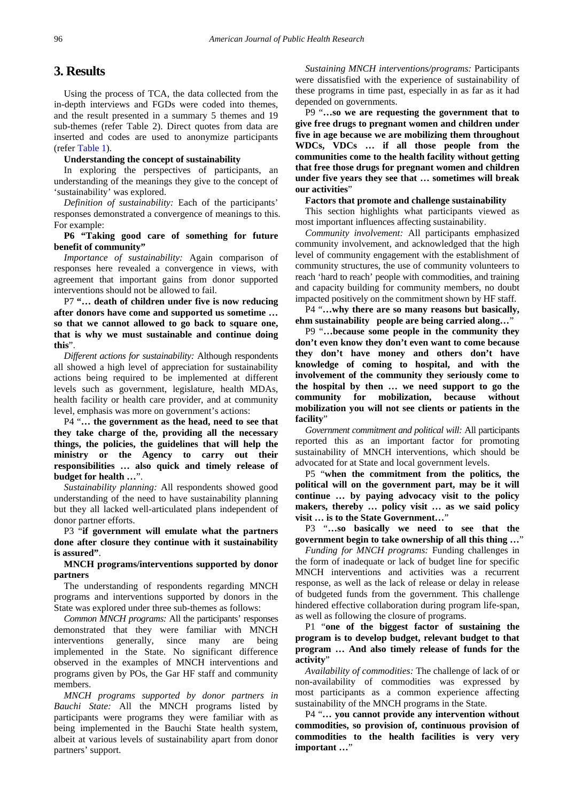# **3. Results**

Using the process of TCA, the data collected from the in-depth interviews and FGDs were coded into themes, and the result presented in a summary 5 themes and 19 sub-themes (refer Table 2). Direct quotes from data are inserted and codes are used to anonymize participants (refer [Table 1\)](#page-2-0).

#### **Understanding the concept of sustainability**

In exploring the perspectives of participants, an understanding of the meanings they give to the concept of 'sustainability' was explored.

*Definition of sustainability:* Each of the participants' responses demonstrated a convergence of meanings to this. For example:

## **P6 "Taking good care of something for future benefit of community"**

*Importance of sustainability:* Again comparison of responses here revealed a convergence in views, with agreement that important gains from donor supported interventions should not be allowed to fail.

P7 **"… death of children under five is now reducing after donors have come and supported us sometime … so that we cannot allowed to go back to square one, that is why we must sustainable and continue doing this**".

*Different actions for sustainability:* Although respondents all showed a high level of appreciation for sustainability actions being required to be implemented at different levels such as government, legislature, health MDAs, health facility or health care provider, and at community level, emphasis was more on government's actions:

P4 "**… the government as the head, need to see that they take charge of the, providing all the necessary things, the policies, the guidelines that will help the ministry or the Agency to carry out their responsibilities … also quick and timely release of budget for health …**".

*Sustainability planning:* All respondents showed good understanding of the need to have sustainability planning but they all lacked well-articulated plans independent of donor partner efforts.

P3 "**if government will emulate what the partners done after closure they continue with it sustainability is assured"**.

### **MNCH programs/interventions supported by donor partners**

The understanding of respondents regarding MNCH programs and interventions supported by donors in the State was explored under three sub-themes as follows:

*Common MNCH programs:* All the participants' responses demonstrated that they were familiar with MNCH interventions generally, since many are being implemented in the State. No significant difference observed in the examples of MNCH interventions and programs given by POs, the Gar HF staff and community members.

*MNCH programs supported by donor partners in Bauchi State:* All the MNCH programs listed by participants were programs they were familiar with as being implemented in the Bauchi State health system, albeit at various levels of sustainability apart from donor partners' support.

*Sustaining MNCH interventions/programs:* Participants were dissatisfied with the experience of sustainability of these programs in time past, especially in as far as it had depended on governments.

P9 "**…so we are requesting the government that to give free drugs to pregnant women and children under five in age because we are mobilizing them throughout WDCs, VDCs … if all those people from the communities come to the health facility without getting that free those drugs for pregnant women and children under five years they see that … sometimes will break our activities**"

#### **Factors that promote and challenge sustainability**

This section highlights what participants viewed as most important influences affecting sustainability.

*Community involvement:* All participants emphasized community involvement, and acknowledged that the high level of community engagement with the establishment of community structures, the use of community volunteers to reach 'hard to reach' people with commodities, and training and capacity building for community members, no doubt impacted positively on the commitment shown by HF staff.

P4 "**…why there are so many reasons but basically, ehm sustainability people are being carried along…**"

P9 "**…because some people in the community they don't even know they don't even want to come because they don't have money and others don't have knowledge of coming to hospital, and with the involvement of the community they seriously come to the hospital by then … we need support to go the community for mobilization, because without mobilization you will not see clients or patients in the facility**"

*Government commitment and political will:* All participants reported this as an important factor for promoting sustainability of MNCH interventions, which should be advocated for at State and local government levels.

P5 "**when the commitment from the politics, the political will on the government part, may be it will continue … by paying advocacy visit to the policy makers, thereby … policy visit … as we said policy visit … is to the State Government…**"

P3 "**…so basically we need to see that the government begin to take ownership of all this thing …**"

*Funding for MNCH programs:* Funding challenges in the form of inadequate or lack of budget line for specific MNCH interventions and activities was a recurrent response, as well as the lack of release or delay in release of budgeted funds from the government. This challenge hindered effective collaboration during program life-span, as well as following the closure of programs.

P1 "**one of the biggest factor of sustaining the program is to develop budget, relevant budget to that program … And also timely release of funds for the activity**"

*Availability of commodities:* The challenge of lack of or non-availability of commodities was expressed by most participants as a common experience affecting sustainability of the MNCH programs in the State.

P4 "**… you cannot provide any intervention without commodities, so provision of, continuous provision of commodities to the health facilities is very very important …**"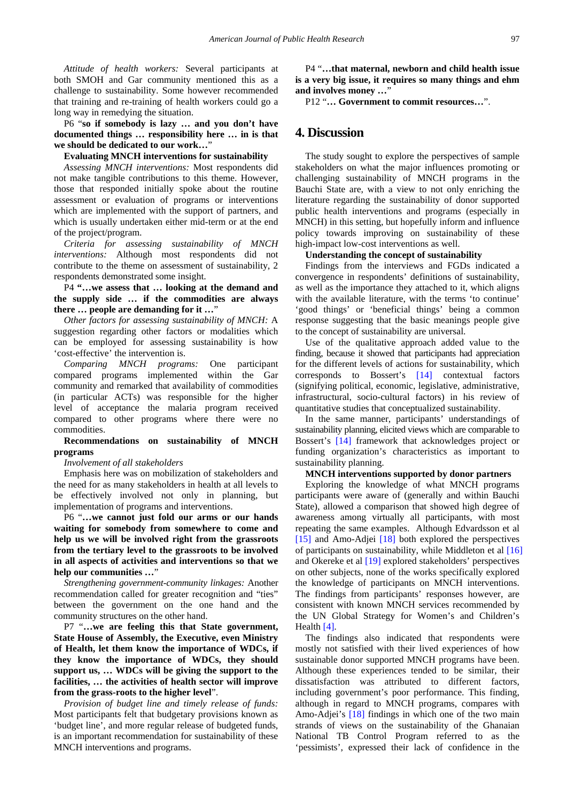*Attitude of health workers:* Several participants at both SMOH and Gar community mentioned this as a challenge to sustainability. Some however recommended that training and re-training of health workers could go a long way in remedying the situation.

P6 "**so if somebody is lazy … and you don't have documented things … responsibility here … in is that we should be dedicated to our work…**"

#### **Evaluating MNCH interventions for sustainability**

*Assessing MNCH interventions:* Most respondents did not make tangible contributions to this theme. However, those that responded initially spoke about the routine assessment or evaluation of programs or interventions which are implemented with the support of partners, and which is usually undertaken either mid-term or at the end of the project/program.

*Criteria for assessing sustainability of MNCH interventions:* Although most respondents did not contribute to the theme on assessment of sustainability, 2 respondents demonstrated some insight.

P4 **"…we assess that … looking at the demand and the supply side … if the commodities are always there … people are demanding for it …**"

*Other factors for assessing sustainability of MNCH:* A suggestion regarding other factors or modalities which can be employed for assessing sustainability is how 'cost-effective' the intervention is.

*Comparing MNCH programs:* One participant compared programs implemented within the Gar community and remarked that availability of commodities (in particular ACTs) was responsible for the higher level of acceptance the malaria program received compared to other programs where there were no commodities.

### **Recommendations on sustainability of MNCH programs**

#### *Involvement of all stakeholders*

Emphasis here was on mobilization of stakeholders and the need for as many stakeholders in health at all levels to be effectively involved not only in planning, but implementation of programs and interventions.

P6 "**…we cannot just fold our arms or our hands waiting for somebody from somewhere to come and help us we will be involved right from the grassroots from the tertiary level to the grassroots to be involved in all aspects of activities and interventions so that we**  help our communities ...'

*Strengthening government-community linkages:* Another recommendation called for greater recognition and "ties" between the government on the one hand and the community structures on the other hand.

P7 "**…we are feeling this that State government, State House of Assembly, the Executive, even Ministry of Health, let them know the importance of WDCs, if they know the importance of WDCs, they should support us, … WDCs will be giving the support to the facilities, … the activities of health sector will improve from the grass-roots to the higher level**".

*Provision of budget line and timely release of funds:* Most participants felt that budgetary provisions known as 'budget line', and more regular release of budgeted funds, is an important recommendation for sustainability of these MNCH interventions and programs.

P4 "**…that maternal, newborn and child health issue is a very big issue, it requires so many things and ehm and involves money …**"

P12 "**… Government to commit resources…**".

# **4. Discussion**

The study sought to explore the perspectives of sample stakeholders on what the major influences promoting or challenging sustainability of MNCH programs in the Bauchi State are, with a view to not only enriching the literature regarding the sustainability of donor supported public health interventions and programs (especially in MNCH) in this setting, but hopefully inform and influence policy towards improving on sustainability of these high-impact low-cost interventions as well.

#### **Understanding the concept of sustainability**

Findings from the interviews and FGDs indicated a convergence in respondents' definitions of sustainability, as well as the importance they attached to it, which aligns with the available literature, with the terms 'to continue' 'good things' or 'beneficial things' being a common response suggesting that the basic meanings people give to the concept of sustainability are universal.

Use of the qualitative approach added value to the finding, because it showed that participants had appreciation for the different levels of actions for sustainability, which corresponds to Bossert's [\[14\]](#page-6-12) contextual factors (signifying political, economic, legislative, administrative, infrastructural, socio-cultural factors) in his review of quantitative studies that conceptualized sustainability.

In the same manner, participants' understandings of sustainability planning, elicited views which are comparable to Bossert's [\[14\]](#page-6-12) framework that acknowledges project or funding organization's characteristics as important to sustainability planning.

#### **MNCH interventions supported by donor partners**

Exploring the knowledge of what MNCH programs participants were aware of (generally and within Bauchi State), allowed a comparison that showed high degree of awareness among virtually all participants, with most repeating the same examples. Although Edvardsson et al [\[15\]](#page-6-10) and Amo-Adjei [\[18\]](#page-6-13) both explored the perspectives of participants on sustainability, while Middleton et al [\[16\]](#page-6-14) and Okereke et al [\[19\]](#page-6-15) explored stakeholders' perspectives on other subjects, none of the works specifically explored the knowledge of participants on MNCH interventions. The findings from participants' responses however, are consistent with known MNCH services recommended by the UN Global Strategy for Women's and Children's Health [\[4\].](#page-6-2)

The findings also indicated that respondents were mostly not satisfied with their lived experiences of how sustainable donor supported MNCH programs have been. Although these experiences tended to be similar, their dissatisfaction was attributed to different factors, including government's poor performance. This finding, although in regard to MNCH programs, compares with Amo-Adjei's [\[18\]](#page-6-13) findings in which one of the two main strands of views on the sustainability of the Ghanaian National TB Control Program referred to as the 'pessimists', expressed their lack of confidence in the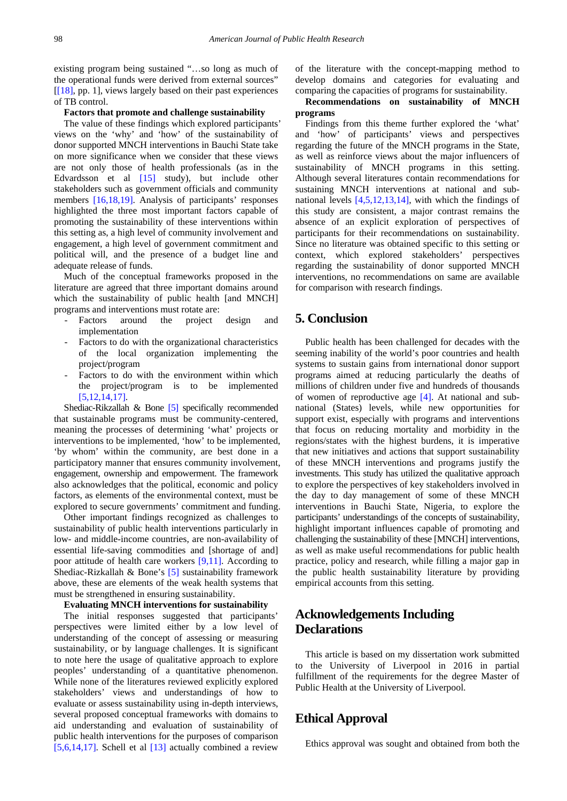existing program being sustained "…so long as much of the operational funds were derived from external sources"  $[18]$ , pp. 1], views largely based on their past experiences of TB control.

#### **Factors that promote and challenge sustainability**

The value of these findings which explored participants' views on the 'why' and 'how' of the sustainability of donor supported MNCH interventions in Bauchi State take on more significance when we consider that these views are not only those of health professionals (as in the Edvardsson et al [\[15\]](#page-6-10) study), but include other stakeholders such as government officials and community members [\[16,18,19\].](#page-6-14) Analysis of participants' responses highlighted the three most important factors capable of promoting the sustainability of these interventions within this setting as, a high level of community involvement and engagement, a high level of government commitment and political will, and the presence of a budget line and adequate release of funds.

Much of the conceptual frameworks proposed in the literature are agreed that three important domains around which the sustainability of public health [and MNCH] programs and interventions must rotate are:

- Factors around the project design and implementation
- Factors to do with the organizational characteristics of the local organization implementing the project/program
- Factors to do with the environment within which the project/program is to be implemented [\[5,12,14,17\].](#page-6-3)

Shediac-Rikzallah & Bone [\[5\]](#page-6-3) specifically recommended that sustainable programs must be community-centered, meaning the processes of determining 'what' projects or interventions to be implemented, 'how' to be implemented, 'by whom' within the community, are best done in a participatory manner that ensures community involvement, engagement, ownership and empowerment. The framework also acknowledges that the political, economic and policy factors, as elements of the environmental context, must be explored to secure governments' commitment and funding.

Other important findings recognized as challenges to sustainability of public health interventions particularly in low- and middle-income countries, are non-availability of essential life-saving commodities and [shortage of and] poor attitude of health care workers [\[9,11\].](#page-6-5) According to Shediac-Rizkallah & Bone's [\[5\]](#page-6-3) sustainability framework above, these are elements of the weak health systems that must be strengthened in ensuring sustainability.

#### **Evaluating MNCH interventions for sustainability**

The initial responses suggested that participants' perspectives were limited either by a low level of understanding of the concept of assessing or measuring sustainability, or by language challenges. It is significant to note here the usage of qualitative approach to explore peoples' understanding of a quantitative phenomenon. While none of the literatures reviewed explicitly explored stakeholders' views and understandings of how to evaluate or assess sustainability using in-depth interviews, several proposed conceptual frameworks with domains to aid understanding and evaluation of sustainability of public health interventions for the purposes of comparison [\[5,6,14,17\].](#page-6-3) Schell et al [\[13\]](#page-6-16) actually combined a review

of the literature with the concept-mapping method to develop domains and categories for evaluating and comparing the capacities of programs for sustainability.

### **Recommendations on sustainability of MNCH programs**

Findings from this theme further explored the 'what' and 'how' of participants' views and perspectives regarding the future of the MNCH programs in the State, as well as reinforce views about the major influencers of sustainability of MNCH programs in this setting. Although several literatures contain recommendations for sustaining MNCH interventions at national and subnational levels [\[4,5,12,13,14\],](#page-6-2) with which the findings of this study are consistent, a major contrast remains the absence of an explicit exploration of perspectives of participants for their recommendations on sustainability. Since no literature was obtained specific to this setting or context, which explored stakeholders' perspectives regarding the sustainability of donor supported MNCH interventions, no recommendations on same are available for comparison with research findings.

# **5. Conclusion**

Public health has been challenged for decades with the seeming inability of the world's poor countries and health systems to sustain gains from international donor support programs aimed at reducing particularly the deaths of millions of children under five and hundreds of thousands of women of reproductive age  $[4]$ . At national and subnational (States) levels, while new opportunities for support exist, especially with programs and interventions that focus on reducing mortality and morbidity in the regions/states with the highest burdens, it is imperative that new initiatives and actions that support sustainability of these MNCH interventions and programs justify the investments. This study has utilized the qualitative approach to explore the perspectives of key stakeholders involved in the day to day management of some of these MNCH interventions in Bauchi State, Nigeria, to explore the participants' understandings of the concepts of sustainability, highlight important influences capable of promoting and challenging the sustainability of these [MNCH] interventions, as well as make useful recommendations for public health practice, policy and research, while filling a major gap in the public health sustainability literature by providing empirical accounts from this setting.

# **Acknowledgements Including Declarations**

This article is based on my dissertation work submitted to the University of Liverpool in 2016 in partial fulfillment of the requirements for the degree Master of Public Health at the University of Liverpool.

# **Ethical Approval**

Ethics approval was sought and obtained from both the